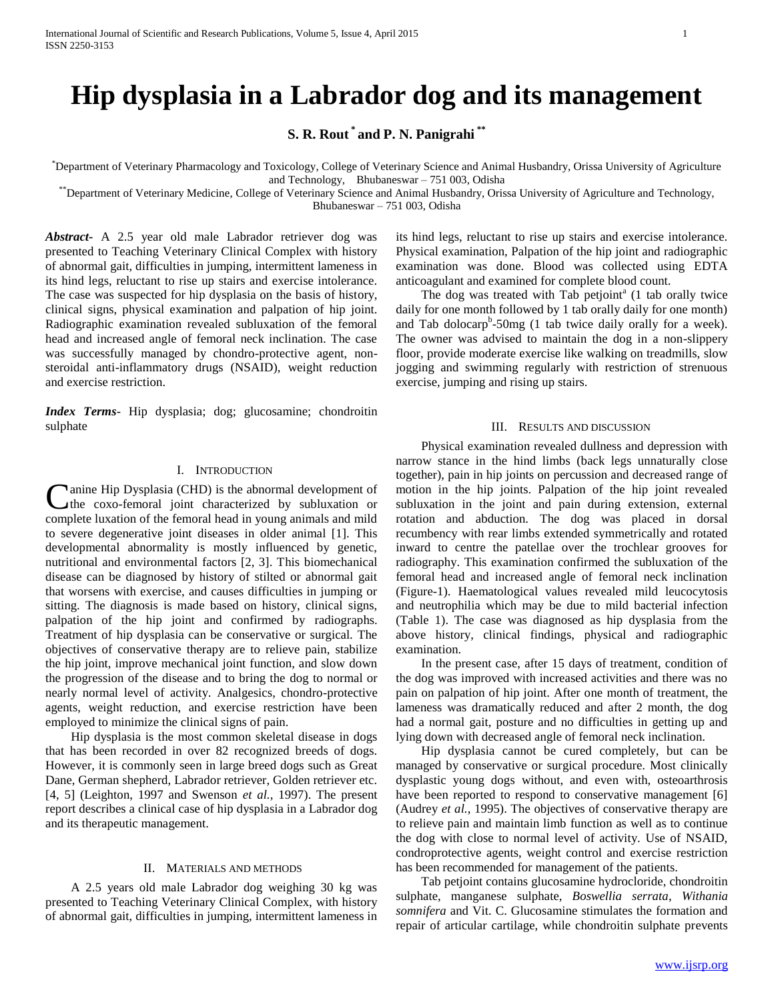# **Hip dysplasia in a Labrador dog and its management**

**S. R. Rout \* and P. N. Panigrahi \*\***

\*Department of Veterinary Pharmacology and Toxicology, College of Veterinary Science and Animal Husbandry, Orissa University of Agriculture and Technology, Bhubaneswar – 751 003, Odisha

\*\*Department of Veterinary Medicine, College of Veterinary Science and Animal Husbandry, Orissa University of Agriculture and Technology,

Bhubaneswar – 751 003, Odisha

*Abstract***-** A 2.5 year old male Labrador retriever dog was presented to Teaching Veterinary Clinical Complex with history of abnormal gait, difficulties in jumping, intermittent lameness in its hind legs, reluctant to rise up stairs and exercise intolerance. The case was suspected for hip dysplasia on the basis of history, clinical signs, physical examination and palpation of hip joint. Radiographic examination revealed subluxation of the femoral head and increased angle of femoral neck inclination. The case was successfully managed by chondro-protective agent, nonsteroidal anti-inflammatory drugs (NSAID), weight reduction and exercise restriction.

*Index Terms*- Hip dysplasia; dog; glucosamine; chondroitin sulphate

## I. INTRODUCTION

anine Hip Dysplasia (CHD) is the abnormal development of the coxo-femoral joint characterized by subluxation or **C**anine Hip Dysplasia (CHD) is the abnormal development of the coxo-femoral joint characterized by subluxation or complete luxation of the femoral head in young animals and mild to severe degenerative joint diseases in older animal [1]. This developmental abnormality is mostly influenced by genetic, nutritional and environmental factors [2, 3]. This biomechanical disease can be diagnosed by history of stilted or abnormal gait that worsens with exercise, and causes difficulties in jumping or sitting. The diagnosis is made based on history, clinical signs, palpation of the hip joint and confirmed by radiographs. Treatment of hip dysplasia can be conservative or surgical. The objectives of conservative therapy are to relieve pain, stabilize the hip joint, improve mechanical joint function, and slow down the progression of the disease and to bring the dog to normal or nearly normal level of activity. Analgesics, chondro-protective agents, weight reduction, and exercise restriction have been employed to minimize the clinical signs of pain.

 Hip dysplasia is the most common skeletal disease in dogs that has been recorded in over 82 recognized breeds of dogs. However, it is commonly seen in large breed dogs such as Great Dane, German shepherd, Labrador retriever, Golden retriever etc. [4, 5] (Leighton, 1997 and Swenson *et al.,* 1997). The present report describes a clinical case of hip dysplasia in a Labrador dog and its therapeutic management.

## II. MATERIALS AND METHODS

 A 2.5 years old male Labrador dog weighing 30 kg was presented to Teaching Veterinary Clinical Complex, with history of abnormal gait, difficulties in jumping, intermittent lameness in its hind legs, reluctant to rise up stairs and exercise intolerance. Physical examination, Palpation of the hip joint and radiographic examination was done. Blood was collected using EDTA anticoagulant and examined for complete blood count.

The dog was treated with  $Tab$  petjoint<sup>a</sup>  $(1$  tab orally twice daily for one month followed by 1 tab orally daily for one month) and Tab dolocarp<sup>b</sup>-50mg (1 tab twice daily orally for a week). The owner was advised to maintain the dog in a non-slippery floor, provide moderate exercise like walking on treadmills, slow jogging and swimming regularly with restriction of strenuous exercise, jumping and rising up stairs.

### III. RESULTS AND DISCUSSION

 Physical examination revealed dullness and depression with narrow stance in the hind limbs (back legs unnaturally close together), pain in hip joints on percussion and decreased range of motion in the hip joints. Palpation of the hip joint revealed subluxation in the joint and pain during extension, external rotation and abduction. The dog was placed in dorsal recumbency with rear limbs extended symmetrically and rotated inward to centre the patellae over the trochlear grooves for radiography. This examination confirmed the subluxation of the femoral head and increased angle of femoral neck inclination (Figure-1). Haematological values revealed mild leucocytosis and neutrophilia which may be due to mild bacterial infection (Table 1). The case was diagnosed as hip dysplasia from the above history, clinical findings, physical and radiographic examination.

 In the present case, after 15 days of treatment, condition of the dog was improved with increased activities and there was no pain on palpation of hip joint. After one month of treatment, the lameness was dramatically reduced and after 2 month, the dog had a normal gait, posture and no difficulties in getting up and lying down with decreased angle of femoral neck inclination.

 Hip dysplasia cannot be cured completely, but can be managed by conservative or surgical procedure. Most clinically dysplastic young dogs without, and even with, osteoarthrosis have been reported to respond to conservative management [6] (Audrey *et al.*, 1995). The objectives of conservative therapy are to relieve pain and maintain limb function as well as to continue the dog with close to normal level of activity. Use of NSAID, condroprotective agents, weight control and exercise restriction has been recommended for management of the patients.

 Tab petjoint contains glucosamine hydrocloride, chondroitin sulphate, manganese sulphate, *Boswellia serrata*, *Withania somnifera* and Vit. C. Glucosamine stimulates the formation and repair of articular cartilage, while chondroitin sulphate prevents